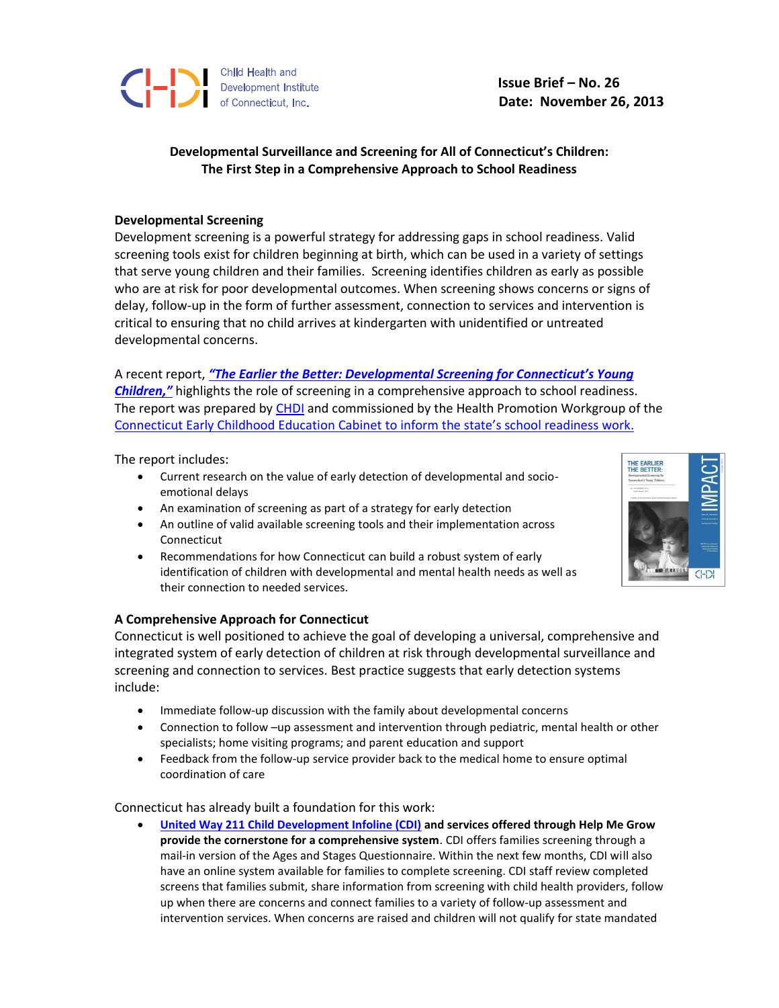

**Issue Brief – No. 26 Date: November 26, 2013**

## **Developmental Surveillance and Screening for All of Connecticut's Children: The First Step in a Comprehensive Approach to School Readiness**

## **Developmental Screening**

Development screening is a powerful strategy for addressing gaps in school readiness. Valid screening tools exist for children beginning at birth, which can be used in a variety of settings that serve young children and their families. Screening identifies children as early as possible who are at risk for poor developmental outcomes. When screening shows concerns or signs of delay, follow-up in the form of further assessment, connection to services and intervention is critical to ensuring that no child arrives at kindergarten with unidentified or untreated developmental concerns.

A recent report, *["The Earlier the Better: Developmental Screening for Connecticut's Young](http://www.chdi.org/devscreen-IMPACT)  [Children,"](http://www.chdi.org/devscreen-IMPACT)* highlights the role of screening in a comprehensive approach to school readiness. The report was prepared by [CHDI](http://www.chdi.org/) and commissioned by the Health Promotion Workgroup of the [Connecticut Early Childhood Education Cabinet](http://www.ctearlychildhood.org/) to inform the state's school readiness work.

The report includes:

- Current research on the value of early detection of developmental and socioemotional delays
- An examination of screening as part of a strategy for early detection
- An outline of valid available screening tools and their implementation across Connecticut
- Recommendations for how Connecticut can build a robust system of early identification of children with developmental and mental health needs as well as their connection to needed services.



Connecticut is well positioned to achieve the goal of developing a universal, comprehensive and integrated system of early detection of children at risk through developmental surveillance and screening and connection to services. Best practice suggests that early detection systems include:

- Immediate follow-up discussion with the family about developmental concerns
- Connection to follow –up assessment and intervention through pediatric, mental health or other specialists; home visiting programs; and parent education and support
- Feedback from the follow-up service provider back to the medical home to ensure optimal coordination of care

Connecticut has already built a foundation for this work:

 **United Way 211 [Child Development Infoline \(CDI\)](http://www.ctunitedway.org/cdi.html) and services offered through Help Me Grow provide the cornerstone for a comprehensive system**. CDI offers families screening through a mail-in version of the Ages and Stages Questionnaire. Within the next few months, CDI will also have an online system available for families to complete screening. CDI staff review completed screens that families submit, share information from screening with child health providers, follow up when there are concerns and connect families to a variety of follow-up assessment and intervention services. When concerns are raised and children will not qualify for state mandated